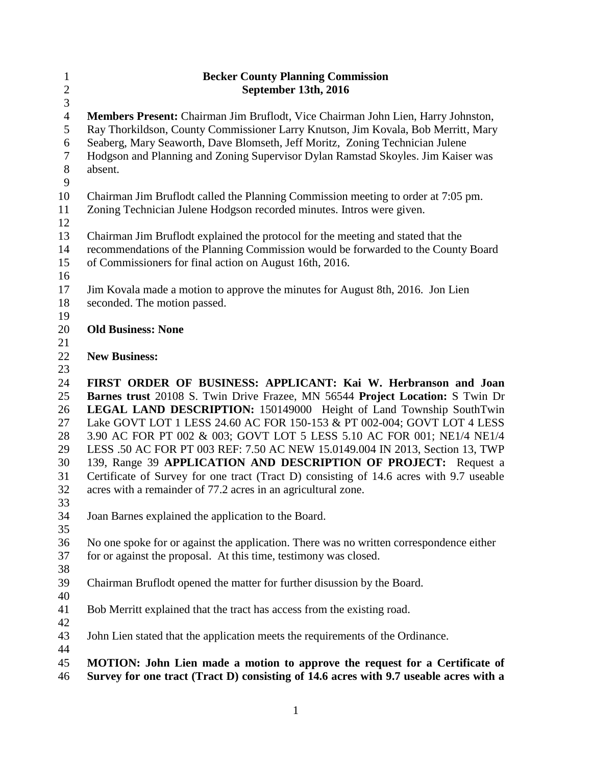| $\mathbf{1}$<br>$\sqrt{2}$      | <b>Becker County Planning Commission</b><br>September 13th, 2016                                                                                                      |
|---------------------------------|-----------------------------------------------------------------------------------------------------------------------------------------------------------------------|
| $\overline{3}$                  |                                                                                                                                                                       |
| $\overline{4}$<br>$\mathfrak s$ | Members Present: Chairman Jim Bruflodt, Vice Chairman John Lien, Harry Johnston,<br>Ray Thorkildson, County Commissioner Larry Knutson, Jim Kovala, Bob Merritt, Mary |
| 6<br>$\overline{7}$             | Seaberg, Mary Seaworth, Dave Blomseth, Jeff Moritz, Zoning Technician Julene<br>Hodgson and Planning and Zoning Supervisor Dylan Ramstad Skoyles. Jim Kaiser was      |
| $8\,$<br>9                      | absent.                                                                                                                                                               |
| 10                              | Chairman Jim Bruflodt called the Planning Commission meeting to order at 7:05 pm.                                                                                     |
| 11<br>12                        | Zoning Technician Julene Hodgson recorded minutes. Intros were given.                                                                                                 |
| 13                              | Chairman Jim Bruflodt explained the protocol for the meeting and stated that the                                                                                      |
| 14<br>15                        | recommendations of the Planning Commission would be forwarded to the County Board<br>of Commissioners for final action on August 16th, 2016.                          |
| 16                              |                                                                                                                                                                       |
| 17                              | Jim Kovala made a motion to approve the minutes for August 8th, 2016. Jon Lien                                                                                        |
| 18                              | seconded. The motion passed.                                                                                                                                          |
| 19                              |                                                                                                                                                                       |
| 20                              | <b>Old Business: None</b>                                                                                                                                             |
| 21                              |                                                                                                                                                                       |
| 22                              | <b>New Business:</b>                                                                                                                                                  |
| 23                              |                                                                                                                                                                       |
| 24                              | FIRST ORDER OF BUSINESS: APPLICANT: Kai W. Herbranson and Joan                                                                                                        |
| 25                              | Barnes trust 20108 S. Twin Drive Frazee, MN 56544 Project Location: S Twin Dr                                                                                         |
| 26                              | <b>LEGAL LAND DESCRIPTION:</b> 150149000 Height of Land Township SouthTwin                                                                                            |
| 27                              | Lake GOVT LOT 1 LESS 24.60 AC FOR 150-153 & PT 002-004; GOVT LOT 4 LESS                                                                                               |
| 28                              | 3.90 AC FOR PT 002 & 003; GOVT LOT 5 LESS 5.10 AC FOR 001; NE1/4 NE1/4                                                                                                |
| 29                              | LESS .50 AC FOR PT 003 REF: 7.50 AC NEW 15.0149.004 IN 2013, Section 13, TWP                                                                                          |
| 30                              | 139, Range 39 APPLICATION AND DESCRIPTION OF PROJECT: Request a                                                                                                       |
| 31                              | Certificate of Survey for one tract (Tract D) consisting of 14.6 acres with 9.7 useable                                                                               |
| 32<br>33                        | acres with a remainder of 77.2 acres in an agricultural zone.                                                                                                         |
| 34                              | Joan Barnes explained the application to the Board.                                                                                                                   |
| 35                              |                                                                                                                                                                       |
| 36                              | No one spoke for or against the application. There was no written correspondence either                                                                               |
| 37                              | for or against the proposal. At this time, testimony was closed.                                                                                                      |
| 38                              |                                                                                                                                                                       |
| 39                              | Chairman Bruflodt opened the matter for further disussion by the Board.                                                                                               |
| 40                              |                                                                                                                                                                       |
| 41                              | Bob Merritt explained that the tract has access from the existing road.                                                                                               |
| 42                              |                                                                                                                                                                       |
| 43                              | John Lien stated that the application meets the requirements of the Ordinance.                                                                                        |
| 44                              |                                                                                                                                                                       |
| 45                              | MOTION: John Lien made a motion to approve the request for a Certificate of                                                                                           |
| 46                              | Survey for one tract (Tract D) consisting of 14.6 acres with 9.7 useable acres with a                                                                                 |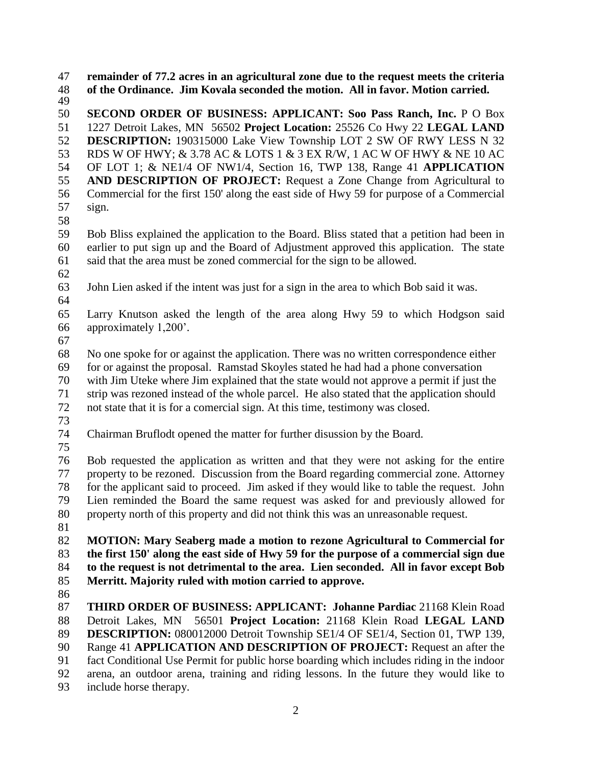**remainder of 77.2 acres in an agricultural zone due to the request meets the criteria of the Ordinance. Jim Kovala seconded the motion. All in favor. Motion carried.** 

 **SECOND ORDER OF BUSINESS: APPLICANT: Soo Pass Ranch, Inc.** P O Box 1227 Detroit Lakes, MN 56502 **Project Location:** 25526 Co Hwy 22 **LEGAL LAND DESCRIPTION:** 190315000 Lake View Township LOT 2 SW OF RWY LESS N 32 RDS W OF HWY; & 3.78 AC & LOTS 1 & 3 EX R/W, 1 AC W OF HWY & NE 10 AC OF LOT 1; & NE1/4 OF NW1/4, Section 16, TWP 138, Range 41 **APPLICATION AND DESCRIPTION OF PROJECT:** Request a Zone Change from Agricultural to Commercial for the first 150' along the east side of Hwy 59 for purpose of a Commercial sign.

 Bob Bliss explained the application to the Board. Bliss stated that a petition had been in earlier to put sign up and the Board of Adjustment approved this application. The state said that the area must be zoned commercial for the sign to be allowed.

John Lien asked if the intent was just for a sign in the area to which Bob said it was.

 Larry Knutson asked the length of the area along Hwy 59 to which Hodgson said approximately 1,200'.

 No one spoke for or against the application. There was no written correspondence either for or against the proposal. Ramstad Skoyles stated he had had a phone conversation

with Jim Uteke where Jim explained that the state would not approve a permit if just the

strip was rezoned instead of the whole parcel. He also stated that the application should

not state that it is for a comercial sign. At this time, testimony was closed.

Chairman Bruflodt opened the matter for further disussion by the Board.

 Bob requested the application as written and that they were not asking for the entire property to be rezoned. Discussion from the Board regarding commercial zone. Attorney for the applicant said to proceed. Jim asked if they would like to table the request. John Lien reminded the Board the same request was asked for and previously allowed for property north of this property and did not think this was an unreasonable request.

 **MOTION: Mary Seaberg made a motion to rezone Agricultural to Commercial for the first 150' along the east side of Hwy 59 for the purpose of a commercial sign due to the request is not detrimental to the area. Lien seconded. All in favor except Bob Merritt. Majority ruled with motion carried to approve.** 

 **THIRD ORDER OF BUSINESS: APPLICANT: Johanne Pardiac** 21168 Klein Road Detroit Lakes, MN 56501 **Project Location:** 21168 Klein Road **LEGAL LAND DESCRIPTION:** 080012000 Detroit Township SE1/4 OF SE1/4, Section 01, TWP 139, Range 41 **APPLICATION AND DESCRIPTION OF PROJECT:** Request an after the fact Conditional Use Permit for public horse boarding which includes riding in the indoor arena, an outdoor arena, training and riding lessons. In the future they would like to include horse therapy.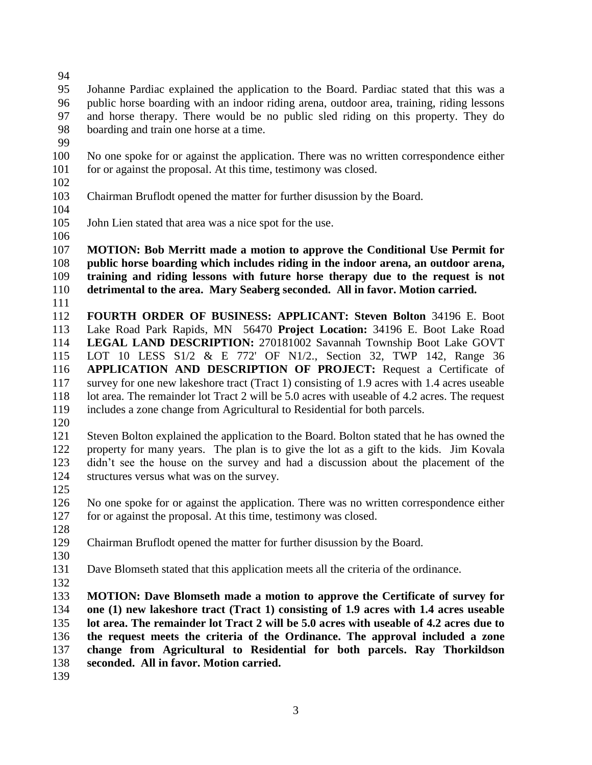Johanne Pardiac explained the application to the Board. Pardiac stated that this was a public horse boarding with an indoor riding arena, outdoor area, training, riding lessons and horse therapy. There would be no public sled riding on this property. They do boarding and train one horse at a time.

 No one spoke for or against the application. There was no written correspondence either 101 for or against the proposal. At this time, testimony was closed.

- 
- Chairman Bruflodt opened the matter for further disussion by the Board.
- 
- John Lien stated that area was a nice spot for the use.
- 

 **MOTION: Bob Merritt made a motion to approve the Conditional Use Permit for public horse boarding which includes riding in the indoor arena, an outdoor arena, training and riding lessons with future horse therapy due to the request is not detrimental to the area. Mary Seaberg seconded. All in favor. Motion carried.** 

 **FOURTH ORDER OF BUSINESS: APPLICANT: Steven Bolton** 34196 E. Boot Lake Road Park Rapids, MN 56470 **Project Location:** 34196 E. Boot Lake Road **LEGAL LAND DESCRIPTION:** 270181002 Savannah Township Boot Lake GOVT LOT 10 LESS S1/2 & E 772' OF N1/2., Section 32, TWP 142, Range 36 **APPLICATION AND DESCRIPTION OF PROJECT:** Request a Certificate of survey for one new lakeshore tract (Tract 1) consisting of 1.9 acres with 1.4 acres useable 118 lot area. The remainder lot Tract 2 will be 5.0 acres with useable of 4.2 acres. The request includes a zone change from Agricultural to Residential for both parcels.

 Steven Bolton explained the application to the Board. Bolton stated that he has owned the property for many years. The plan is to give the lot as a gift to the kids. Jim Kovala didn't see the house on the survey and had a discussion about the placement of the structures versus what was on the survey.

 No one spoke for or against the application. There was no written correspondence either for or against the proposal. At this time, testimony was closed.

Chairman Bruflodt opened the matter for further disussion by the Board.

- 
- 

Dave Blomseth stated that this application meets all the criteria of the ordinance.

 **MOTION: Dave Blomseth made a motion to approve the Certificate of survey for one (1) new lakeshore tract (Tract 1) consisting of 1.9 acres with 1.4 acres useable lot area. The remainder lot Tract 2 will be 5.0 acres with useable of 4.2 acres due to the request meets the criteria of the Ordinance. The approval included a zone change from Agricultural to Residential for both parcels. Ray Thorkildson seconded. All in favor. Motion carried.**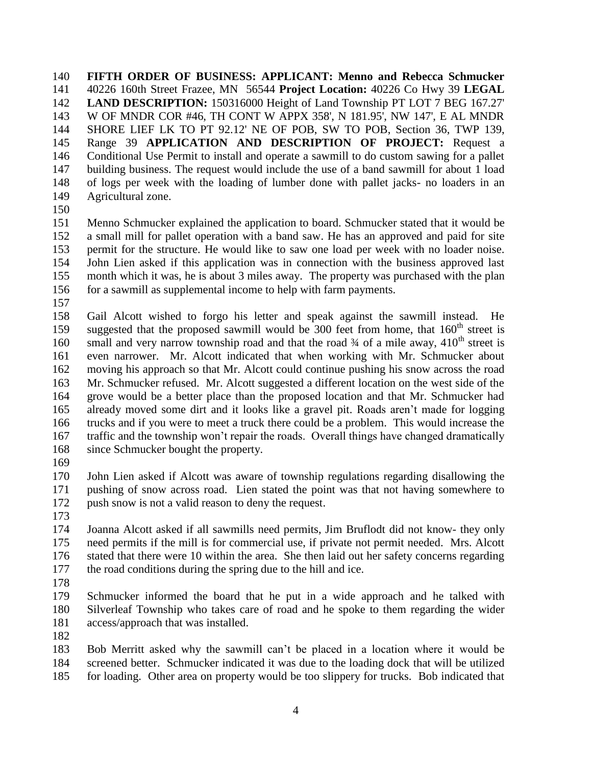**FIFTH ORDER OF BUSINESS: APPLICANT: Menno and Rebecca Schmucker** 40226 160th Street Frazee, MN 56544 **Project Location:** 40226 Co Hwy 39 **LEGAL LAND DESCRIPTION:** 150316000 Height of Land Township PT LOT 7 BEG 167.27' W OF MNDR COR #46, TH CONT W APPX 358', N 181.95', NW 147', E AL MNDR SHORE LIEF LK TO PT 92.12' NE OF POB, SW TO POB, Section 36, TWP 139, Range 39 **APPLICATION AND DESCRIPTION OF PROJECT:** Request a Conditional Use Permit to install and operate a sawmill to do custom sawing for a pallet building business. The request would include the use of a band sawmill for about 1 load of logs per week with the loading of lumber done with pallet jacks- no loaders in an Agricultural zone.

 Menno Schmucker explained the application to board. Schmucker stated that it would be a small mill for pallet operation with a band saw. He has an approved and paid for site permit for the structure. He would like to saw one load per week with no loader noise. John Lien asked if this application was in connection with the business approved last month which it was, he is about 3 miles away. The property was purchased with the plan for a sawmill as supplemental income to help with farm payments.

 Gail Alcott wished to forgo his letter and speak against the sawmill instead. He 159 suggested that the proposed sawmill would be 300 feet from home, that  $160<sup>th</sup>$  street is 160 small and very narrow township road and that the road  $\frac{3}{4}$  of a mile away,  $\frac{410^{th}}{5}$  street is even narrower. Mr. Alcott indicated that when working with Mr. Schmucker about moving his approach so that Mr. Alcott could continue pushing his snow across the road Mr. Schmucker refused. Mr. Alcott suggested a different location on the west side of the grove would be a better place than the proposed location and that Mr. Schmucker had already moved some dirt and it looks like a gravel pit. Roads aren't made for logging trucks and if you were to meet a truck there could be a problem. This would increase the traffic and the township won't repair the roads. Overall things have changed dramatically since Schmucker bought the property.

 John Lien asked if Alcott was aware of township regulations regarding disallowing the pushing of snow across road. Lien stated the point was that not having somewhere to 172 push snow is not a valid reason to deny the request.

 Joanna Alcott asked if all sawmills need permits, Jim Bruflodt did not know- they only need permits if the mill is for commercial use, if private not permit needed. Mrs. Alcott stated that there were 10 within the area. She then laid out her safety concerns regarding the road conditions during the spring due to the hill and ice.

 Schmucker informed the board that he put in a wide approach and he talked with Silverleaf Township who takes care of road and he spoke to them regarding the wider access/approach that was installed.

 Bob Merritt asked why the sawmill can't be placed in a location where it would be screened better. Schmucker indicated it was due to the loading dock that will be utilized for loading. Other area on property would be too slippery for trucks. Bob indicated that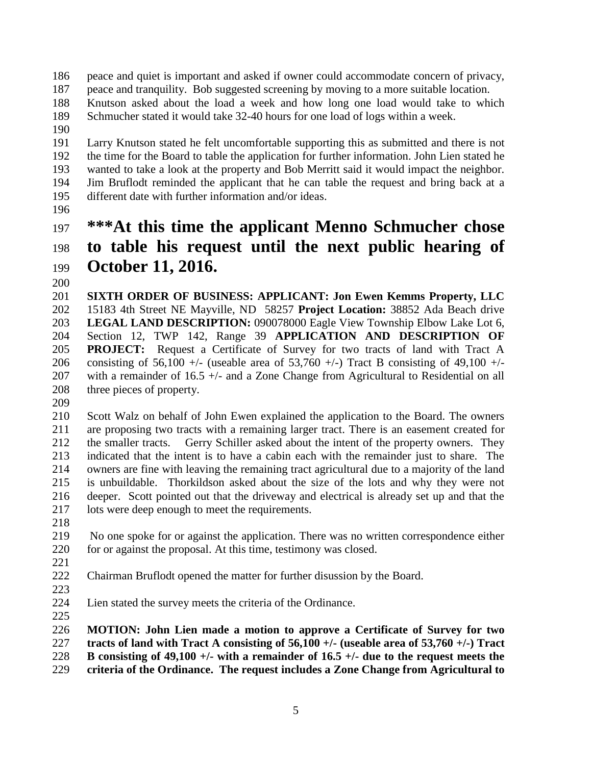- peace and quiet is important and asked if owner could accommodate concern of privacy,
- peace and tranquility. Bob suggested screening by moving to a more suitable location.
- Knutson asked about the load a week and how long one load would take to which Schmucher stated it would take 32-40 hours for one load of logs within a week.
- 

 Larry Knutson stated he felt uncomfortable supporting this as submitted and there is not the time for the Board to table the application for further information. John Lien stated he wanted to take a look at the property and Bob Merritt said it would impact the neighbor. Jim Bruflodt reminded the applicant that he can table the request and bring back at a different date with further information and/or ideas.

## **\*\*\*At this time the applicant Menno Schmucher chose to table his request until the next public hearing of October 11, 2016.**

 **SIXTH ORDER OF BUSINESS: APPLICANT: Jon Ewen Kemms Property, LLC** 15183 4th Street NE Mayville, ND 58257 **Project Location:** 38852 Ada Beach drive **LEGAL LAND DESCRIPTION:** 090078000 Eagle View Township Elbow Lake Lot 6, Section 12, TWP 142, Range 39 **APPLICATION AND DESCRIPTION OF PROJECT:** Request a Certificate of Survey for two tracts of land with Tract A 206 consisting of 56,100 +/- (useable area of 53,760 +/-) Tract B consisting of 49,100 +/-207 with a remainder of  $16.5 +/-$  and a Zone Change from Agricultural to Residential on all three pieces of property.

 Scott Walz on behalf of John Ewen explained the application to the Board. The owners are proposing two tracts with a remaining larger tract. There is an easement created for the smaller tracts. Gerry Schiller asked about the intent of the property owners. They indicated that the intent is to have a cabin each with the remainder just to share. The owners are fine with leaving the remaining tract agricultural due to a majority of the land is unbuildable. Thorkildson asked about the size of the lots and why they were not deeper. Scott pointed out that the driveway and electrical is already set up and that the lots were deep enough to meet the requirements.

 No one spoke for or against the application. There was no written correspondence either for or against the proposal. At this time, testimony was closed.

- 
- Chairman Bruflodt opened the matter for further disussion by the Board.
- 
- Lien stated the survey meets the criteria of the Ordinance.

 **MOTION: John Lien made a motion to approve a Certificate of Survey for two tracts of land with Tract A consisting of 56,100 +/- (useable area of 53,760 +/-) Tract B consisting of 49,100 +/- with a remainder of 16.5 +/- due to the request meets the** 

**criteria of the Ordinance. The request includes a Zone Change from Agricultural to**